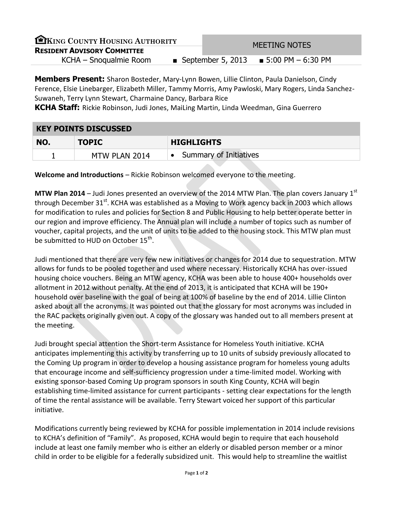| EKING COUNTY HOUSING AUTHORITY     |  | <b>MEETING NOTES</b> |                                          |  |
|------------------------------------|--|----------------------|------------------------------------------|--|
| <b>RESIDENT ADVISORY COMMITTEE</b> |  |                      |                                          |  |
| KCHA – Snoqualmie Room             |  |                      | ■ September 5, 2013 = 5:00 PM $-6:30$ PM |  |

**Members Present:** Sharon Bosteder, Mary-Lynn Bowen, Lillie Clinton, Paula Danielson, Cindy Ference, Elsie Linebarger, Elizabeth Miller, Tammy Morris, Amy Pawloski, Mary Rogers, Linda Sanchez-Suwaneh, Terry Lynn Stewart, Charmaine Dancy, Barbara Rice

**KCHA Staff:** Rickie Robinson, Judi Jones, MaiLing Martin, Linda Weedman, Gina Guerrero

## **KEY POINTS DISCUSSED**

| NO. | <b>TOPIC</b>  | <b>HIGHLIGHTS</b>      |  |
|-----|---------------|------------------------|--|
|     | MTW PLAN 2014 | Summary of Initiatives |  |

**Welcome and Introductions** – Rickie Robinson welcomed everyone to the meeting.

**MTW Plan 2014** – Judi Jones presented an overview of the 2014 MTW Plan. The plan covers January 1<sup>st</sup> through December 31<sup>st</sup>. KCHA was established as a Moving to Work agency back in 2003 which allows for modification to rules and policies for Section 8 and Public Housing to help better operate better in our region and improve efficiency. The Annual plan will include a number of topics such as number of voucher, capital projects, and the unit of units to be added to the housing stock. This MTW plan must be submitted to HUD on October  $15^{\text{th}}$ .

Judi mentioned that there are very few new initiatives or changes for 2014 due to sequestration. MTW allows for funds to be pooled together and used where necessary. Historically KCHA has over-issued housing choice vouchers. Being an MTW agency, KCHA was been able to house 400+ households over allotment in 2012 without penalty. At the end of 2013, it is anticipated that KCHA will be 190+ household over baseline with the goal of being at 100% of baseline by the end of 2014. Lillie Clinton asked about all the acronyms. It was pointed out that the glossary for most acronyms was included in the RAC packets originally given out. A copy of the glossary was handed out to all members present at the meeting.

Judi brought special attention the Short-term Assistance for Homeless Youth initiative. KCHA anticipates implementing this activity by transferring up to 10 units of subsidy previously allocated to the Coming Up program in order to develop a housing assistance program for homeless young adults that encourage income and self-sufficiency progression under a time-limited model. Working with existing sponsor-based Coming Up program sponsors in south King County, KCHA will begin establishing time-limited assistance for current participants - setting clear expectations for the length of time the rental assistance will be available. Terry Stewart voiced her support of this particular initiative.

Modifications currently being reviewed by KCHA for possible implementation in 2014 include revisions to KCHA's definition of "Family". As proposed, KCHA would begin to require that each household include at least one family member who is either an elderly or disabled person member or a minor child in order to be eligible for a federally subsidized unit. This would help to streamline the waitlist